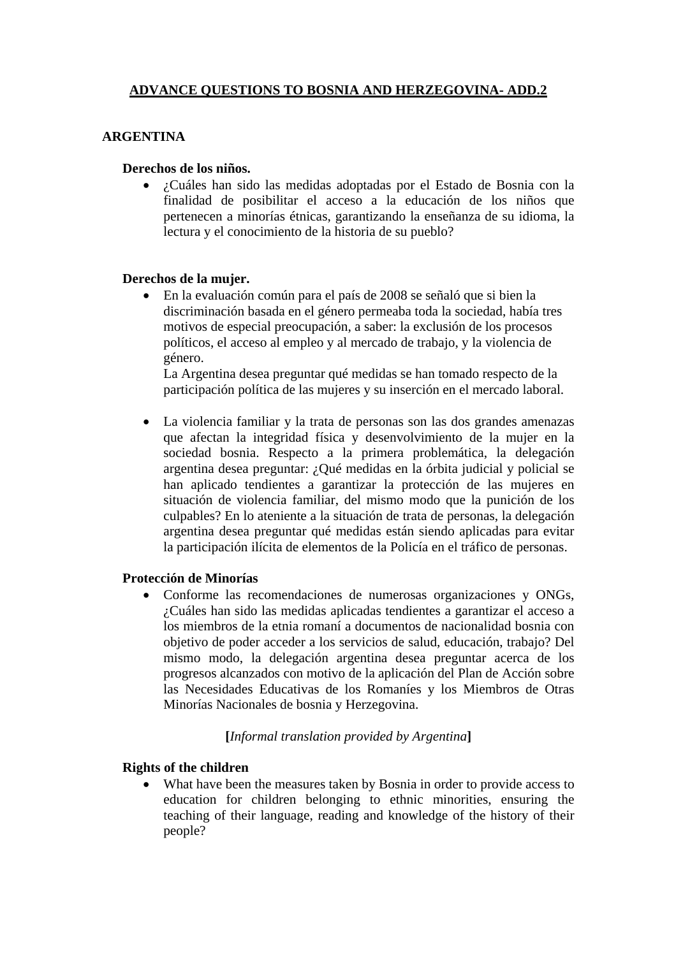# **ADVANCE QUESTIONS TO BOSNIA AND HERZEGOVINA- ADD.2**

## **ARGENTINA**

## **Derechos de los niños.**

• ¿Cuáles han sido las medidas adoptadas por el Estado de Bosnia con la finalidad de posibilitar el acceso a la educación de los niños que pertenecen a minorías étnicas, garantizando la enseñanza de su idioma, la lectura y el conocimiento de la historia de su pueblo?

## **Derechos de la mujer.**

• En la evaluación común para el país de 2008 se señaló que si bien la discriminación basada en el género permeaba toda la sociedad, había tres motivos de especial preocupación, a saber: la exclusión de los procesos políticos, el acceso al empleo y al mercado de trabajo, y la violencia de género.

La Argentina desea preguntar qué medidas se han tomado respecto de la participación política de las mujeres y su inserción en el mercado laboral.

• La violencia familiar y la trata de personas son las dos grandes amenazas que afectan la integridad física y desenvolvimiento de la mujer en la sociedad bosnia. Respecto a la primera problemática, la delegación argentina desea preguntar: ¿Qué medidas en la órbita judicial y policial se han aplicado tendientes a garantizar la protección de las mujeres en situación de violencia familiar, del mismo modo que la punición de los culpables? En lo ateniente a la situación de trata de personas, la delegación argentina desea preguntar qué medidas están siendo aplicadas para evitar la participación ilícita de elementos de la Policía en el tráfico de personas.

#### **Protección de Minorías**

• Conforme las recomendaciones de numerosas organizaciones y ONGs, ¿Cuáles han sido las medidas aplicadas tendientes a garantizar el acceso a los miembros de la etnia romaní a documentos de nacionalidad bosnia con objetivo de poder acceder a los servicios de salud, educación, trabajo? Del mismo modo, la delegación argentina desea preguntar acerca de los progresos alcanzados con motivo de la aplicación del Plan de Acción sobre las Necesidades Educativas de los Romaníes y los Miembros de Otras Minorías Nacionales de bosnia y Herzegovina.

## **[***Informal translation provided by Argentina***]**

#### **Rights of the children**

• What have been the measures taken by Bosnia in order to provide access to education for children belonging to ethnic minorities, ensuring the teaching of their language, reading and knowledge of the history of their people?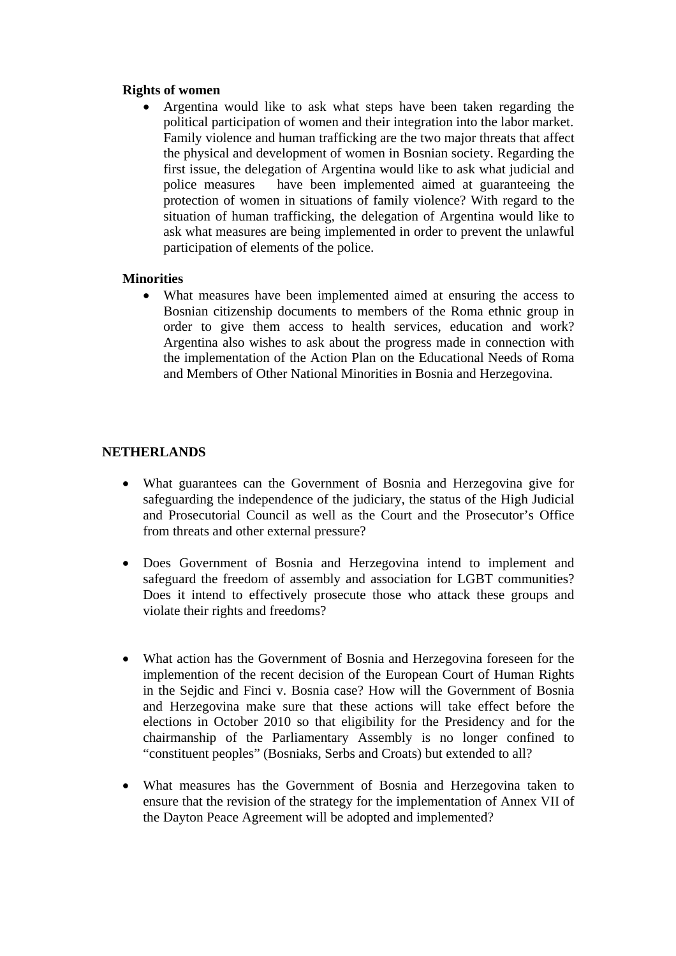## **Rights of women**

• Argentina would like to ask what steps have been taken regarding the political participation of women and their integration into the labor market. Family violence and human trafficking are the two major threats that affect the physical and development of women in Bosnian society. Regarding the first issue, the delegation of Argentina would like to ask what judicial and police measures have been implemented aimed at guaranteeing the protection of women in situations of family violence? With regard to the situation of human trafficking, the delegation of Argentina would like to ask what measures are being implemented in order to prevent the unlawful participation of elements of the police.

## **Minorities**

• What measures have been implemented aimed at ensuring the access to Bosnian citizenship documents to members of the Roma ethnic group in order to give them access to health services, education and work? Argentina also wishes to ask about the progress made in connection with the implementation of the Action Plan on the Educational Needs of Roma and Members of Other National Minorities in Bosnia and Herzegovina.

# **NETHERLANDS**

- What guarantees can the Government of Bosnia and Herzegovina give for safeguarding the independence of the judiciary, the status of the High Judicial and Prosecutorial Council as well as the Court and the Prosecutor's Office from threats and other external pressure?
- Does Government of Bosnia and Herzegovina intend to implement and safeguard the freedom of assembly and association for LGBT communities? Does it intend to effectively prosecute those who attack these groups and violate their rights and freedoms?
- What action has the Government of Bosnia and Herzegovina foreseen for the implemention of the recent decision of the European Court of Human Rights in the Sejdic and Finci v. Bosnia case? How will the Government of Bosnia and Herzegovina make sure that these actions will take effect before the elections in October 2010 so that eligibility for the Presidency and for the chairmanship of the Parliamentary Assembly is no longer confined to "constituent peoples" (Bosniaks, Serbs and Croats) but extended to all?
- What measures has the Government of Bosnia and Herzegovina taken to ensure that the revision of the strategy for the implementation of Annex VII of the Dayton Peace Agreement will be adopted and implemented?